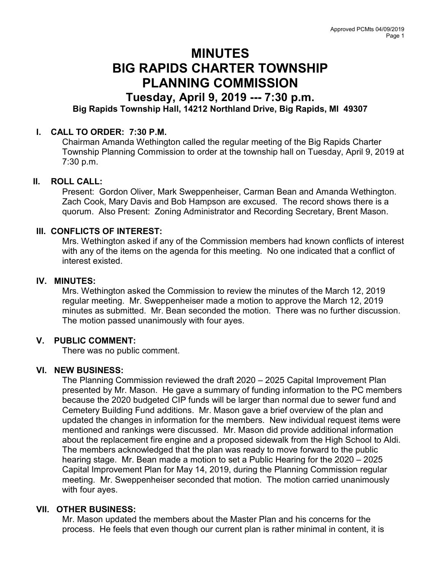# MINUTES BIG RAPIDS CHARTER TOWNSHIP PLANNING COMMISSION

## Tuesday, April 9, 2019 --- 7:30 p.m.

### Big Rapids Township Hall, 14212 Northland Drive, Big Rapids, MI 49307

#### I. CALL TO ORDER: 7:30 P.M.

Chairman Amanda Wethington called the regular meeting of the Big Rapids Charter Township Planning Commission to order at the township hall on Tuesday, April 9, 2019 at 7:30 p.m.

#### II. ROLL CALL:

Present: Gordon Oliver, Mark Sweppenheiser, Carman Bean and Amanda Wethington. Zach Cook, Mary Davis and Bob Hampson are excused. The record shows there is a quorum. Also Present: Zoning Administrator and Recording Secretary, Brent Mason.

#### III. CONFLICTS OF INTEREST:

Mrs. Wethington asked if any of the Commission members had known conflicts of interest with any of the items on the agenda for this meeting. No one indicated that a conflict of interest existed.

#### IV. MINUTES:

Mrs. Wethington asked the Commission to review the minutes of the March 12, 2019 regular meeting. Mr. Sweppenheiser made a motion to approve the March 12, 2019 minutes as submitted. Mr. Bean seconded the motion. There was no further discussion. The motion passed unanimously with four ayes.

#### V. PUBLIC COMMENT:

There was no public comment.

#### VI. NEW BUSINESS:

The Planning Commission reviewed the draft 2020 – 2025 Capital Improvement Plan presented by Mr. Mason. He gave a summary of funding information to the PC members because the 2020 budgeted CIP funds will be larger than normal due to sewer fund and Cemetery Building Fund additions. Mr. Mason gave a brief overview of the plan and updated the changes in information for the members. New individual request items were mentioned and rankings were discussed. Mr. Mason did provide additional information about the replacement fire engine and a proposed sidewalk from the High School to Aldi. The members acknowledged that the plan was ready to move forward to the public hearing stage. Mr. Bean made a motion to set a Public Hearing for the 2020 – 2025 Capital Improvement Plan for May 14, 2019, during the Planning Commission regular meeting. Mr. Sweppenheiser seconded that motion. The motion carried unanimously with four ayes.

#### VII. OTHER BUSINESS:

Mr. Mason updated the members about the Master Plan and his concerns for the process. He feels that even though our current plan is rather minimal in content, it is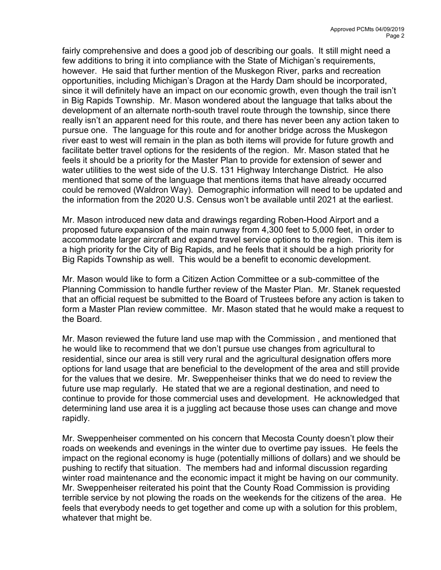fairly comprehensive and does a good job of describing our goals. It still might need a few additions to bring it into compliance with the State of Michigan's requirements, however. He said that further mention of the Muskegon River, parks and recreation opportunities, including Michigan's Dragon at the Hardy Dam should be incorporated, since it will definitely have an impact on our economic growth, even though the trail isn't in Big Rapids Township. Mr. Mason wondered about the language that talks about the development of an alternate north-south travel route through the township, since there really isn't an apparent need for this route, and there has never been any action taken to pursue one. The language for this route and for another bridge across the Muskegon river east to west will remain in the plan as both items will provide for future growth and facilitate better travel options for the residents of the region. Mr. Mason stated that he feels it should be a priority for the Master Plan to provide for extension of sewer and water utilities to the west side of the U.S. 131 Highway Interchange District. He also mentioned that some of the language that mentions items that have already occurred could be removed (Waldron Way). Demographic information will need to be updated and the information from the 2020 U.S. Census won't be available until 2021 at the earliest.

Mr. Mason introduced new data and drawings regarding Roben-Hood Airport and a proposed future expansion of the main runway from 4,300 feet to 5,000 feet, in order to accommodate larger aircraft and expand travel service options to the region. This item is a high priority for the City of Big Rapids, and he feels that it should be a high priority for Big Rapids Township as well. This would be a benefit to economic development.

Mr. Mason would like to form a Citizen Action Committee or a sub-committee of the Planning Commission to handle further review of the Master Plan. Mr. Stanek requested that an official request be submitted to the Board of Trustees before any action is taken to form a Master Plan review committee. Mr. Mason stated that he would make a request to the Board.

Mr. Mason reviewed the future land use map with the Commission , and mentioned that he would like to recommend that we don't pursue use changes from agricultural to residential, since our area is still very rural and the agricultural designation offers more options for land usage that are beneficial to the development of the area and still provide for the values that we desire. Mr. Sweppenheiser thinks that we do need to review the future use map regularly. He stated that we are a regional destination, and need to continue to provide for those commercial uses and development. He acknowledged that determining land use area it is a juggling act because those uses can change and move rapidly.

Mr. Sweppenheiser commented on his concern that Mecosta County doesn't plow their roads on weekends and evenings in the winter due to overtime pay issues. He feels the impact on the regional economy is huge (potentially millions of dollars) and we should be pushing to rectify that situation. The members had and informal discussion regarding winter road maintenance and the economic impact it might be having on our community. Mr. Sweppenheiser reiterated his point that the County Road Commission is providing terrible service by not plowing the roads on the weekends for the citizens of the area. He feels that everybody needs to get together and come up with a solution for this problem, whatever that might be.